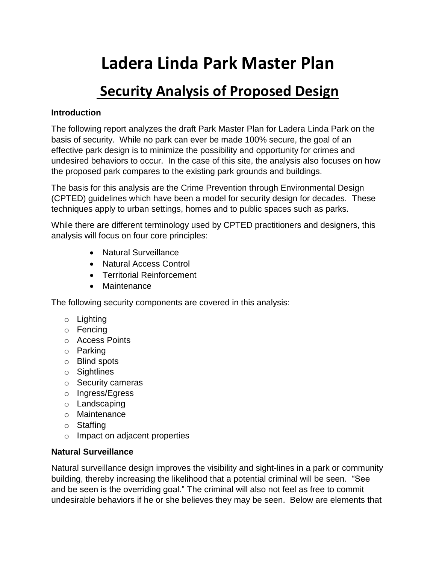# **Ladera Linda Park Master Plan**

# **Security Analysis of Proposed Design**

#### **Introduction**

The following report analyzes the draft Park Master Plan for Ladera Linda Park on the basis of security. While no park can ever be made 100% secure, the goal of an effective park design is to minimize the possibility and opportunity for crimes and undesired behaviors to occur. In the case of this site, the analysis also focuses on how the proposed park compares to the existing park grounds and buildings.

The basis for this analysis are the Crime Prevention through Environmental Design (CPTED) guidelines which have been a model for security design for decades. These techniques apply to urban settings, homes and to public spaces such as parks.

While there are different terminology used by CPTED practitioners and designers, this analysis will focus on four core principles:

- Natural Surveillance
- Natural Access Control
- Territorial Reinforcement
- Maintenance

The following security components are covered in this analysis:

- o Lighting
- o Fencing
- o Access Points
- o Parking
- o Blind spots
- o Sightlines
- o Security cameras
- o Ingress/Egress
- o Landscaping
- o Maintenance
- o Staffing
- o Impact on adjacent properties

#### **Natural Surveillance**

Natural surveillance design improves the visibility and sight-lines in a park or community building, thereby increasing the likelihood that a potential criminal will be seen. "See and be seen is the overriding goal." The criminal will also not feel as free to commit undesirable behaviors if he or she believes they may be seen. Below are elements that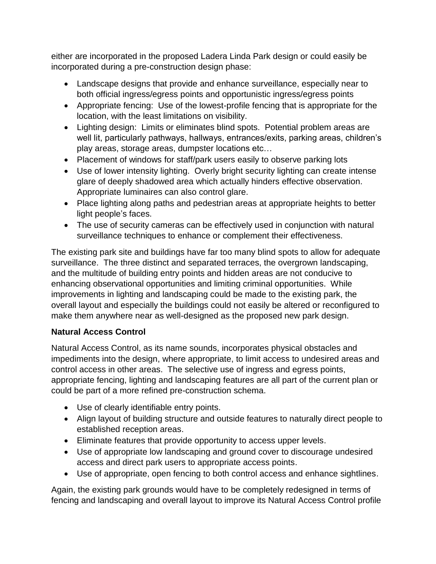either are incorporated in the proposed Ladera Linda Park design or could easily be incorporated during a pre-construction design phase:

- Landscape designs that provide and enhance surveillance, especially near to both official ingress/egress points and opportunistic ingress/egress points
- Appropriate fencing: Use of the lowest-profile fencing that is appropriate for the location, with the least limitations on visibility.
- Lighting design: Limits or eliminates blind spots. Potential problem areas are well lit, particularly pathways, hallways, entrances/exits, parking areas, children's play areas, storage areas, dumpster locations etc…
- Placement of windows for staff/park users easily to observe parking lots
- Use of lower intensity lighting. Overly bright security lighting can create intense glare of deeply shadowed area which actually hinders effective observation. Appropriate luminaires can also control glare.
- Place lighting along paths and pedestrian areas at appropriate heights to better light people's faces.
- The use of security cameras can be effectively used in conjunction with natural surveillance techniques to enhance or complement their effectiveness.

The existing park site and buildings have far too many blind spots to allow for adequate surveillance. The three distinct and separated terraces, the overgrown landscaping, and the multitude of building entry points and hidden areas are not conducive to enhancing observational opportunities and limiting criminal opportunities. While improvements in lighting and landscaping could be made to the existing park, the overall layout and especially the buildings could not easily be altered or reconfigured to make them anywhere near as well-designed as the proposed new park design.

# **Natural Access Control**

Natural Access Control, as its name sounds, incorporates physical obstacles and impediments into the design, where appropriate, to limit access to undesired areas and control access in other areas. The selective use of ingress and egress points, appropriate fencing, lighting and landscaping features are all part of the current plan or could be part of a more refined pre-construction schema.

- Use of clearly identifiable entry points.
- Align layout of building structure and outside features to naturally direct people to established reception areas.
- Eliminate features that provide opportunity to access upper levels.
- Use of appropriate low landscaping and ground cover to discourage undesired access and direct park users to appropriate access points.
- Use of appropriate, open fencing to both control access and enhance sightlines.

Again, the existing park grounds would have to be completely redesigned in terms of fencing and landscaping and overall layout to improve its Natural Access Control profile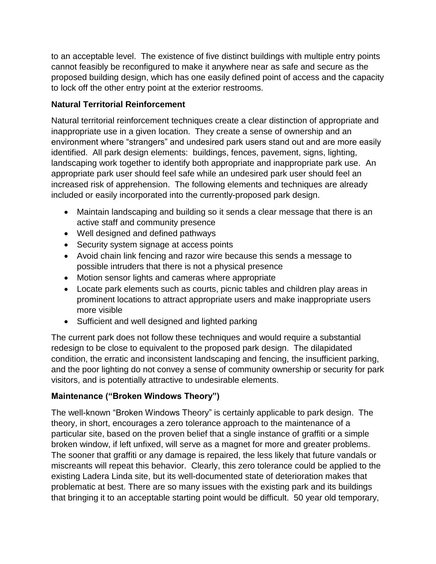to an acceptable level. The existence of five distinct buildings with multiple entry points cannot feasibly be reconfigured to make it anywhere near as safe and secure as the proposed building design, which has one easily defined point of access and the capacity to lock off the other entry point at the exterior restrooms.

#### **Natural Territorial Reinforcement**

Natural territorial reinforcement techniques create a clear distinction of appropriate and inappropriate use in a given location. They create a sense of ownership and an environment where "strangers" and undesired park users stand out and are more easily identified. All park design elements: buildings, fences, pavement, signs, lighting, landscaping work together to identify both appropriate and inappropriate park use. An appropriate park user should feel safe while an undesired park user should feel an increased risk of apprehension. The following elements and techniques are already included or easily incorporated into the currently-proposed park design.

- Maintain landscaping and building so it sends a clear message that there is an active staff and community presence
- Well designed and defined pathways
- Security system signage at access points
- Avoid chain link fencing and razor wire because this sends a message to possible intruders that there is not a physical presence
- Motion sensor lights and cameras where appropriate
- Locate park elements such as courts, picnic tables and children play areas in prominent locations to attract appropriate users and make inappropriate users more visible
- Sufficient and well designed and lighted parking

The current park does not follow these techniques and would require a substantial redesign to be close to equivalent to the proposed park design. The dilapidated condition, the erratic and inconsistent landscaping and fencing, the insufficient parking, and the poor lighting do not convey a sense of community ownership or security for park visitors, and is potentially attractive to undesirable elements.

# **Maintenance ("Broken Windows Theory")**

The well-known "Broken Windows Theory" is certainly applicable to park design. The theory, in short, encourages a zero tolerance approach to the maintenance of a particular site, based on the proven belief that a single instance of graffiti or a simple broken window, if left unfixed, will serve as a magnet for more and greater problems. The sooner that graffiti or any damage is repaired, the less likely that future vandals or miscreants will repeat this behavior. Clearly, this zero tolerance could be applied to the existing Ladera Linda site, but its well-documented state of deterioration makes that problematic at best. There are so many issues with the existing park and its buildings that bringing it to an acceptable starting point would be difficult. 50 year old temporary,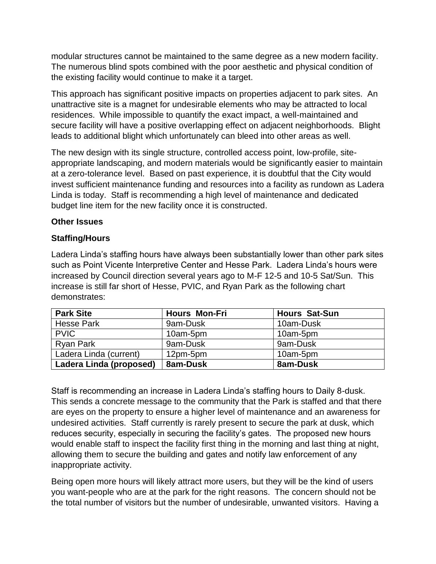modular structures cannot be maintained to the same degree as a new modern facility. The numerous blind spots combined with the poor aesthetic and physical condition of the existing facility would continue to make it a target.

This approach has significant positive impacts on properties adjacent to park sites. An unattractive site is a magnet for undesirable elements who may be attracted to local residences. While impossible to quantify the exact impact, a well-maintained and secure facility will have a positive overlapping effect on adjacent neighborhoods. Blight leads to additional blight which unfortunately can bleed into other areas as well.

The new design with its single structure, controlled access point, low-profile, siteappropriate landscaping, and modern materials would be significantly easier to maintain at a zero-tolerance level. Based on past experience, it is doubtful that the City would invest sufficient maintenance funding and resources into a facility as rundown as Ladera Linda is today. Staff is recommending a high level of maintenance and dedicated budget line item for the new facility once it is constructed.

#### **Other Issues**

#### **Staffing/Hours**

Ladera Linda's staffing hours have always been substantially lower than other park sites such as Point Vicente Interpretive Center and Hesse Park. Ladera Linda's hours were increased by Council direction several years ago to M-F 12-5 and 10-5 Sat/Sun. This increase is still far short of Hesse, PVIC, and Ryan Park as the following chart demonstrates:

| <b>Park Site</b>        | <b>Hours Mon-Fri</b> | <b>Hours Sat-Sun</b> |
|-------------------------|----------------------|----------------------|
| <b>Hesse Park</b>       | 9am-Dusk             | 10am-Dusk            |
| <b>PVIC</b>             | 10am-5pm             | 10am-5pm             |
| <b>Ryan Park</b>        | 9am-Dusk             | 9am-Dusk             |
| Ladera Linda (current)  | 12pm-5pm             | 10am-5pm             |
| Ladera Linda (proposed) | 8am-Dusk             | 8am-Dusk             |

Staff is recommending an increase in Ladera Linda's staffing hours to Daily 8-dusk. This sends a concrete message to the community that the Park is staffed and that there are eyes on the property to ensure a higher level of maintenance and an awareness for undesired activities. Staff currently is rarely present to secure the park at dusk, which reduces security, especially in securing the facility's gates. The proposed new hours would enable staff to inspect the facility first thing in the morning and last thing at night, allowing them to secure the building and gates and notify law enforcement of any inappropriate activity.

Being open more hours will likely attract more users, but they will be the kind of users you want-people who are at the park for the right reasons. The concern should not be the total number of visitors but the number of undesirable, unwanted visitors. Having a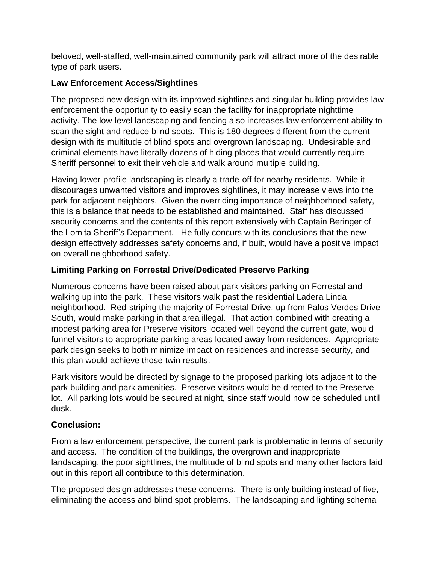beloved, well-staffed, well-maintained community park will attract more of the desirable type of park users.

#### **Law Enforcement Access/Sightlines**

The proposed new design with its improved sightlines and singular building provides law enforcement the opportunity to easily scan the facility for inappropriate nighttime activity. The low-level landscaping and fencing also increases law enforcement ability to scan the sight and reduce blind spots. This is 180 degrees different from the current design with its multitude of blind spots and overgrown landscaping. Undesirable and criminal elements have literally dozens of hiding places that would currently require Sheriff personnel to exit their vehicle and walk around multiple building.

Having lower-profile landscaping is clearly a trade-off for nearby residents. While it discourages unwanted visitors and improves sightlines, it may increase views into the park for adjacent neighbors. Given the overriding importance of neighborhood safety, this is a balance that needs to be established and maintained. Staff has discussed security concerns and the contents of this report extensively with Captain Beringer of the Lomita Sheriff's Department. He fully concurs with its conclusions that the new design effectively addresses safety concerns and, if built, would have a positive impact on overall neighborhood safety.

# **Limiting Parking on Forrestal Drive/Dedicated Preserve Parking**

Numerous concerns have been raised about park visitors parking on Forrestal and walking up into the park. These visitors walk past the residential Ladera Linda neighborhood. Red-striping the majority of Forrestal Drive, up from Palos Verdes Drive South, would make parking in that area illegal. That action combined with creating a modest parking area for Preserve visitors located well beyond the current gate, would funnel visitors to appropriate parking areas located away from residences. Appropriate park design seeks to both minimize impact on residences and increase security, and this plan would achieve those twin results.

Park visitors would be directed by signage to the proposed parking lots adjacent to the park building and park amenities. Preserve visitors would be directed to the Preserve lot. All parking lots would be secured at night, since staff would now be scheduled until dusk.

# **Conclusion:**

From a law enforcement perspective, the current park is problematic in terms of security and access. The condition of the buildings, the overgrown and inappropriate landscaping, the poor sightlines, the multitude of blind spots and many other factors laid out in this report all contribute to this determination.

The proposed design addresses these concerns. There is only building instead of five, eliminating the access and blind spot problems. The landscaping and lighting schema